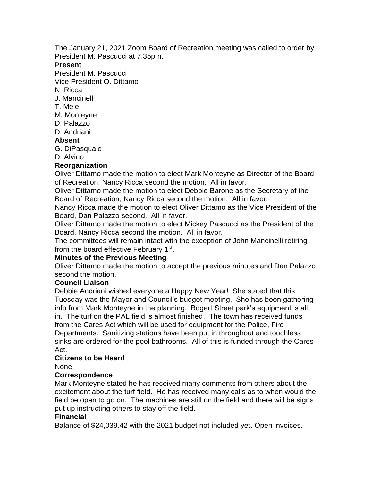The January 21, 2021 Zoom Board of Recreation meeting was called to order by President M. Pascucci at 7:35pm.

## **Present**

President M. Pascucci

Vice President O. Dittamo

- N. Ricca
- J. Mancinelli
- T. Mele
- M. Monteyne
- D. Palazzo
- D. Andriani

# **Absent**

- G. DiPasquale
- D. Alvino

# **Reorganization**

Oliver Dittamo made the motion to elect Mark Monteyne as Director of the Board of Recreation, Nancy Ricca second the motion. All in favor.

Oliver Dittamo made the motion to elect Debbie Barone as the Secretary of the Board of Recreation, Nancy Ricca second the motion. All in favor.

Nancy Ricca made the motion to elect Oliver Dittamo as the Vice President of the Board, Dan Palazzo second. All in favor.

Oliver Dittamo made the motion to elect Mickey Pascucci as the President of the Board, Nancy Ricca second the motion. All in favor.

The committees will remain intact with the exception of John Mancinelli retiring from the board effective February 1<sup>st</sup>.

# **Minutes of the Previous Meeting**

Oliver Dittamo made the motion to accept the previous minutes and Dan Palazzo second the motion.

# **Council Liaison**

Debbie Andriani wished everyone a Happy New Year! She stated that this Tuesday was the Mayor and Council's budget meeting. She has been gathering info from Mark Monteyne in the planning. Bogert Street park's equipment is all in. The turf on the PAL field is almost finished. The town has received funds from the Cares Act which will be used for equipment for the Police, Fire Departments. Sanitizing stations have been put in throughout and touchless sinks are ordered for the pool bathrooms. All of this is funded through the Cares Act.

# **Citizens to be Heard**

None

# **Correspondence**

Mark Monteyne stated he has received many comments from others about the excitement about the turf field. He has received many calls as to when would the field be open to go on. The machines are still on the field and there will be signs put up instructing others to stay off the field.

# **Financial**

Balance of \$24,039.42 with the 2021 budget not included yet. Open invoices.